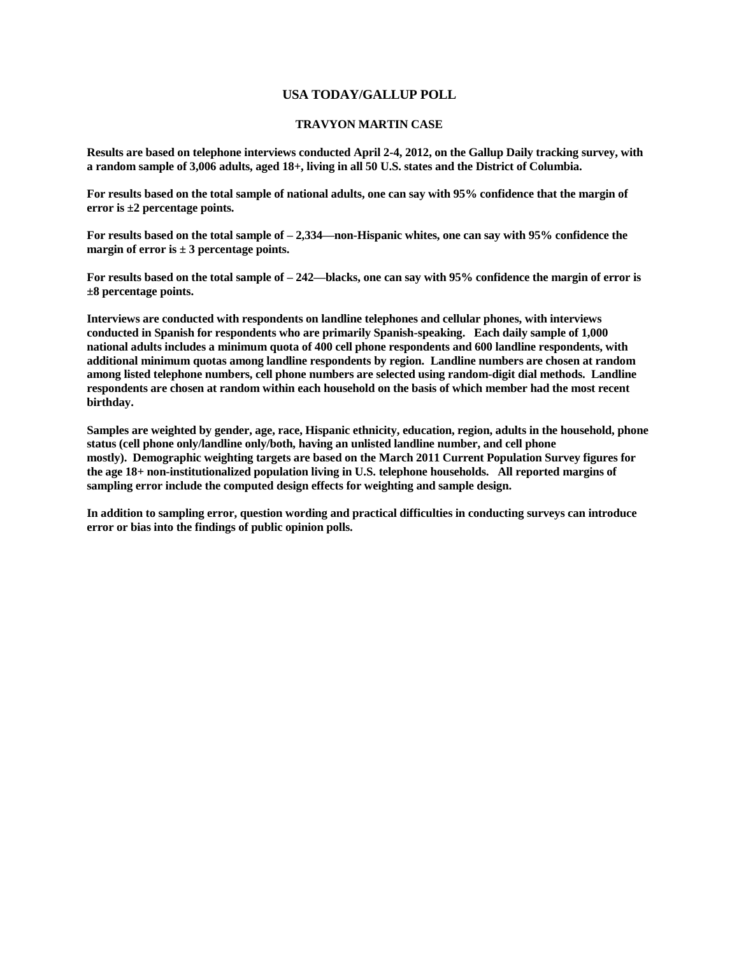## **USA TODAY/GALLUP POLL**

## **TRAVYON MARTIN CASE**

**Results are based on telephone interviews conducted April 2-4, 2012, on the Gallup Daily tracking survey, with a random sample of 3,006 adults, aged 18+, living in all 50 U.S. states and the District of Columbia.** 

**For results based on the total sample of national adults, one can say with 95% confidence that the margin of error is ±2 percentage points.**

**For results based on the total sample of – 2,334—non-Hispanic whites, one can say with 95% confidence the margin of error is ± 3 percentage points.**

**For results based on the total sample of – 242—blacks, one can say with 95% confidence the margin of error is ±8 percentage points.**

**Interviews are conducted with respondents on landline telephones and cellular phones, with interviews conducted in Spanish for respondents who are primarily Spanish-speaking. Each daily sample of 1,000 national adults includes a minimum quota of 400 cell phone respondents and 600 landline respondents, with additional minimum quotas among landline respondents by region. Landline numbers are chosen at random among listed telephone numbers, cell phone numbers are selected using random-digit dial methods. Landline respondents are chosen at random within each household on the basis of which member had the most recent birthday.**

**Samples are weighted by gender, age, race, Hispanic ethnicity, education, region, adults in the household, phone status (cell phone only/landline only/both, having an unlisted landline number, and cell phone mostly). Demographic weighting targets are based on the March 2011 Current Population Survey figures for the age 18+ non-institutionalized population living in U.S. telephone households. All reported margins of sampling error include the computed design effects for weighting and sample design.** 

**In addition to sampling error, question wording and practical difficulties in conducting surveys can introduce error or bias into the findings of public opinion polls.**